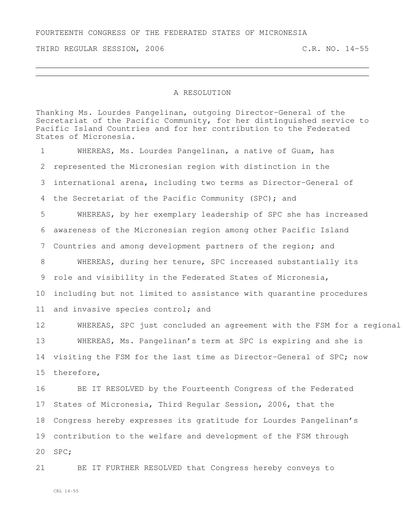FOURTEENTH CONGRESS OF THE FEDERATED STATES OF MICRONESIA

THIRD REGULAR SESSION, 2006 C.R. NO. 14-55

## A RESOLUTION

Thanking Ms. Lourdes Pangelinan, outgoing Director-General of the Secretariat of the Pacific Community, for her distinguished service to Pacific Island Countries and for her contribution to the Federated States of Micronesia.

 WHEREAS, Ms. Lourdes Pangelinan, a native of Guam, has represented the Micronesian region with distinction in the international arena, including two terms as Director-General of the Secretariat of the Pacific Community (SPC); and WHEREAS, by her exemplary leadership of SPC she has increased awareness of the Micronesian region among other Pacific Island Countries and among development partners of the region; and WHEREAS, during her tenure, SPC increased substantially its role and visibility in the Federated States of Micronesia, including but not limited to assistance with quarantine procedures 11 and invasive species control; and 12 WHEREAS, SPC just concluded an agreement with the FSM for a regional WHEREAS, Ms. Pangelinan's term at SPC is expiring and she is visiting the FSM for the last time as Director-General of SPC; now therefore, BE IT RESOLVED by the Fourteenth Congress of the Federated States of Micronesia, Third Regular Session, 2006, that the

contribution to the welfare and development of the FSM through

Congress hereby expresses its gratitude for Lourdes Pangelinan's

SPC;

BE IT FURTHER RESOLVED that Congress hereby conveys to